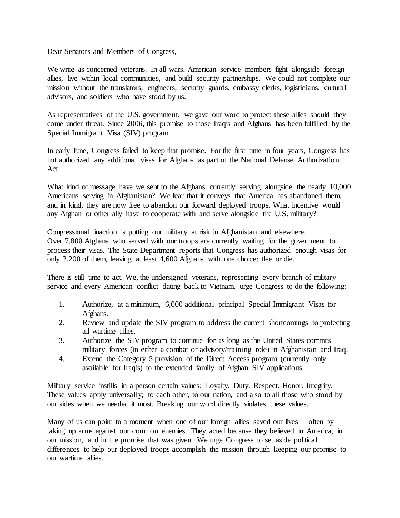Dear Senators and Members of Congress,

We write as concerned veterans. In all wars, American service members fight alongside foreign allies, live within local communities, and build security partnerships. We could not complete our mission without the translators, engineers, security guards, embassy clerks, logisticians, cultural advisors, and soldiers who have stood by us.

As representatives of the U.S. government, we gave our word to protect these allies should they come under threat. Since 2006, this promise to those Iraqis and Afghans has been fulfilled by the Special Immigrant Visa (SIV) program.

In early June, Congress failed to keep that promise. For the first time in four years, Congress has not authorized any additional visas for Afghans as part of the National Defense Authorization Act.

What kind of message have we sent to the Afghans currently serving alongside the nearly 10,000 Americans serving in Afghanistan? We fear that it conveys that America has abandoned them, and in kind, they are now free to abandon our forward deployed troops. What incentive would any Afghan or other ally have to cooperate with and serve alongside the U.S. military?

Congressional inaction is putting our military at risk in Afghanistan and elsewhere. Over 7,800 Afghans who served with our troops are currently waiting for the government to process their visas. The State Department reports that Congress has authorized enough visas for only 3,200 of them, leaving at least 4,600 Afghans with one choice: flee or die.

There is still time to act. We, the undersigned veterans, representing every branch of military service and every American conflict dating back to Vietnam, urge Congress to do the following:

- 1. Authorize, at a minimum, 6,000 additional principal Special Immigrant Visas for Afghans.
- 2. Review and update the SIV program to address the current shortcomings to protecting all wartime allies.
- 3. Authorize the SIV program to continue for as long as the United States commits military forces (in either a combat or advisory/training role) in Afghanistan and Iraq.
- 4. Extend the Category 5 provision of the Direct Access program (currently only available for Iraqis) to the extended family of Afghan SIV applications.

Military service instills in a person certain values: Loyalty. Duty. Respect. Honor. Integrity. These values apply universally; to each other, to our nation, and also to all those who stood by our sides when we needed it most. Breaking our word directly violates these values.

Many of us can point to a moment when one of our foreign allies saved our lives  $-$  often by taking up arms against our common enemies. They acted because they believed in America, in our mission, and in the promise that was given. We urge Congress to set aside political differences to help our deployed troops accomplish the mission through keeping our promise to our wartime allies.